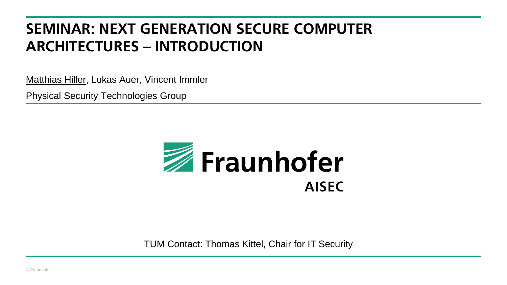# **SEMINAR: NEXT GENERATION SECURE COMPUTER ARCHITECTURES – INTRODUCTION**

Matthias Hiller, Lukas Auer, Vincent Immler

Physical Security Technologies Group



TUM Contact: Thomas Kittel, Chair for IT Security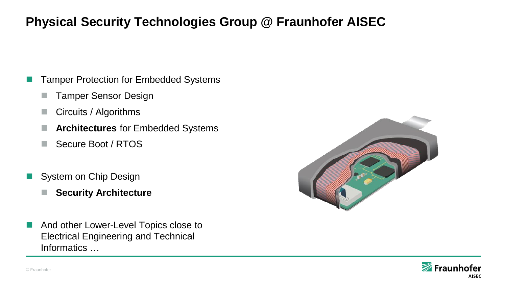# **Physical Security Technologies Group @ Fraunhofer AISEC**

- Tamper Protection for Embedded Systems
	- Tamper Sensor Design
	- Circuits / Algorithms
	- **Architectures** for Embedded Systems
	- Secure Boot / RTOS
- System on Chip Design
	- **Security Architecture**
- And other Lower-Level Topics close to Electrical Engineering and Technical Informatics …



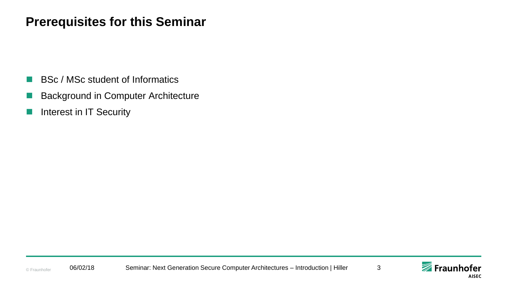### **Prerequisites for this Seminar**

- BSc / MSc student of Informatics
- Background in Computer Architecture
- Interest in IT Security

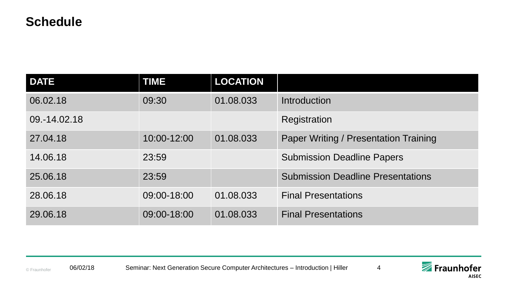#### **Schedule**

| <b>DATE</b>  | <b>TIME</b> | <b>LOCATION</b> |                                              |
|--------------|-------------|-----------------|----------------------------------------------|
| 06.02.18     | 09:30       | 01.08.033       | Introduction                                 |
| 09.-14.02.18 |             |                 | Registration                                 |
| 27.04.18     | 10:00-12:00 | 01.08.033       | <b>Paper Writing / Presentation Training</b> |
| 14.06.18     | 23:59       |                 | <b>Submission Deadline Papers</b>            |
| 25.06.18     | 23:59       |                 | <b>Submission Deadline Presentations</b>     |
| 28.06.18     | 09:00-18:00 | 01.08.033       | <b>Final Presentations</b>                   |
| 29.06.18     | 09:00-18:00 | 01.08.033       | <b>Final Presentations</b>                   |

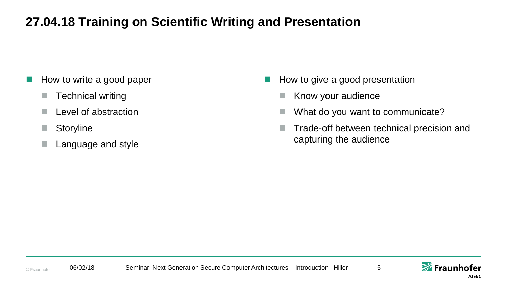# **27.04.18 Training on Scientific Writing and Presentation**

- How to write a good paper
	- $\blacksquare$  Technical writing
	- Level of abstraction
	- **Storyline**
	- Language and style
- How to give a good presentation
	- Know your audience
	- What do you want to communicate?
	- **Trade-off between technical precision and** capturing the audience



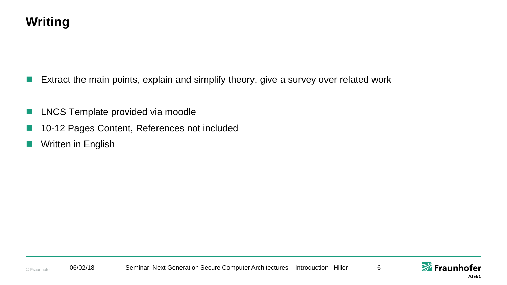

- Extract the main points, explain and simplify theory, give a survey over related work
- LNCS Template provided via moodle
- 10-12 Pages Content, References not included
- Written in English

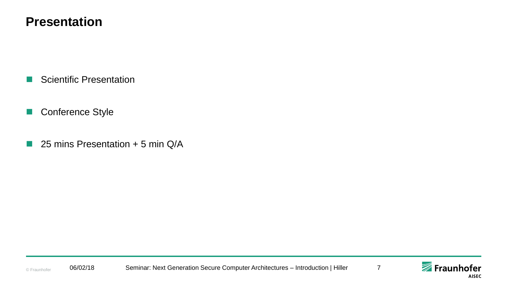#### **Presentation**

- Scientific Presentation
- **Conference Style**
- $\blacksquare$  25 mins Presentation + 5 min Q/A

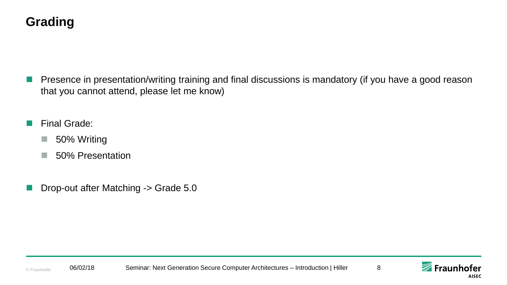# **Grading**

- Presence in presentation/writing training and final discussions is mandatory (if you have a good reason that you cannot attend, please let me know)
- Final Grade:
	- 50% Writing
	- 50% Presentation
- Drop-out after Matching -> Grade 5.0

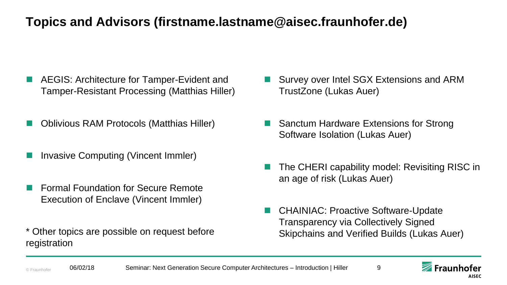# **Topics and Advisors (firstname.lastname@aisec.fraunhofer.de)**

- AEGIS: Architecture for Tamper-Evident and Tamper-Resistant Processing (Matthias Hiller)
- Oblivious RAM Protocols (Matthias Hiller)
- Invasive Computing (Vincent Immler)
- Formal Foundation for Secure Remote Execution of Enclave (Vincent Immler)
- \* Other topics are possible on request before registration
- Survey over Intel SGX Extensions and ARM TrustZone (Lukas Auer)
- Sanctum Hardware Extensions for Strong Software Isolation (Lukas Auer)
- The CHERI capability model: Revisiting RISC in an age of risk (Lukas Auer)
- CHAINIAC: Proactive Software-Update Transparency via Collectively Signed Skipchains and Verified Builds (Lukas Auer)

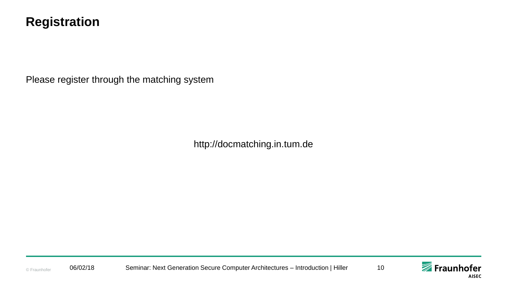#### **Registration**

Please register through the matching system

http://docmatching.in.tum.de